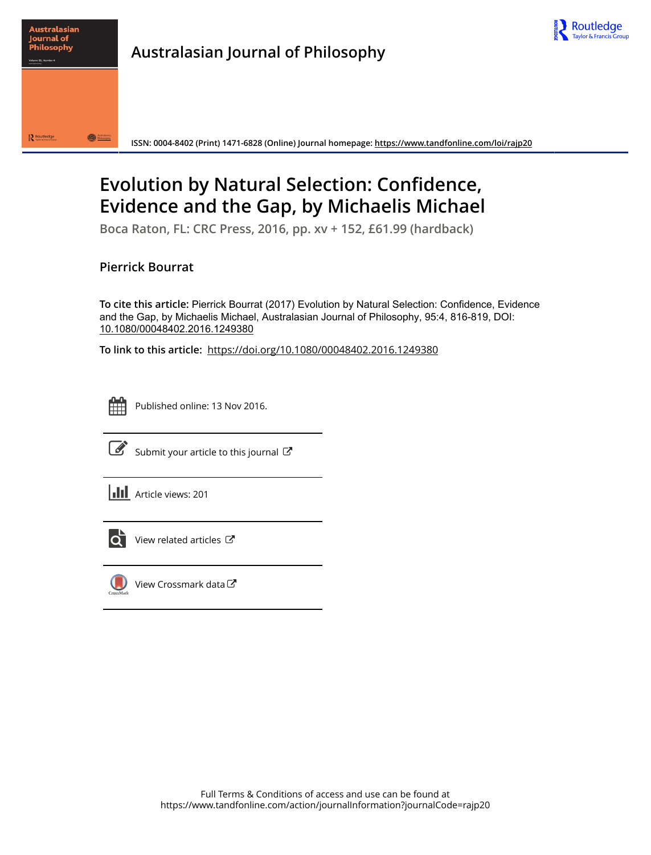



**Australasian Journal of Philosophy**

**ISSN: 0004-8402 (Print) 1471-6828 (Online) Journal homepage:<https://www.tandfonline.com/loi/rajp20>**

# **Evolution by Natural Selection: Confidence, Evidence and the Gap, by Michaelis Michael**

**Boca Raton, FL: CRC Press, 2016, pp. xv + 152, £61.99 (hardback)**

## **Pierrick Bourrat**

**To cite this article:** Pierrick Bourrat (2017) Evolution by Natural Selection: Confidence, Evidence and the Gap, by Michaelis Michael, Australasian Journal of Philosophy, 95:4, 816-819, DOI: [10.1080/00048402.2016.1249380](https://www.tandfonline.com/action/showCitFormats?doi=10.1080/00048402.2016.1249380)

**To link to this article:** <https://doi.org/10.1080/00048402.2016.1249380>



Published online: 13 Nov 2016.



 $\overrightarrow{S}$  [Submit your article to this journal](https://www.tandfonline.com/action/authorSubmission?journalCode=rajp20&show=instructions)  $G$ 





 $\overline{Q}$  [View related articles](https://www.tandfonline.com/doi/mlt/10.1080/00048402.2016.1249380)  $\mathbb{Z}$ 



 $\bigcirc$  [View Crossmark data](http://crossmark.crossref.org/dialog/?doi=10.1080/00048402.2016.1249380&domain=pdf&date_stamp=2016-11-13) $\mathbb{Z}$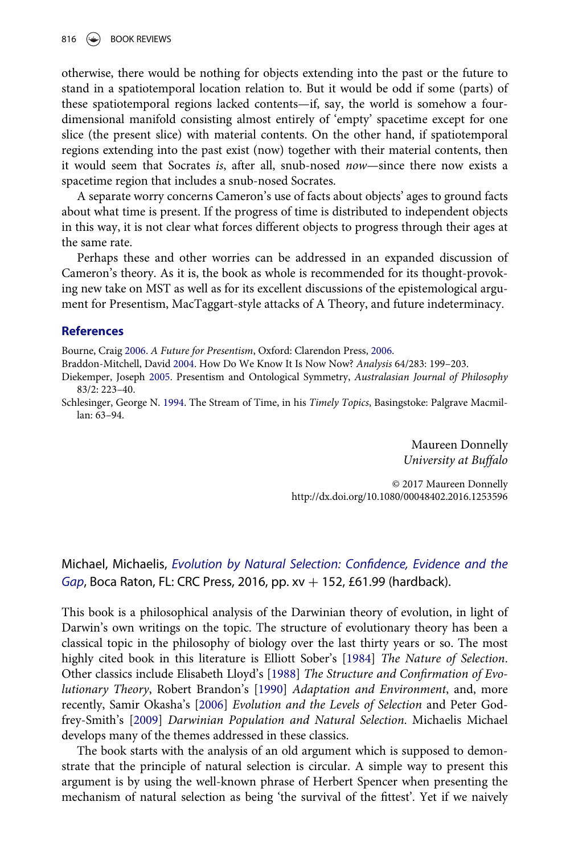otherwise, there would be nothing for objects extending into the past or the future to stand in a spatiotemporal location relation to. But it would be odd if some (parts) of these spatiotemporal regions lacked contents—if, say, the world is somehow a fourdimensional manifold consisting almost entirely of 'empty' spacetime except for one slice (the present slice) with material contents. On the other hand, if spatiotemporal regions extending into the past exist (now) together with their material contents, then it would seem that Socrates is, after all, snub-nosed now—since there now exists a spacetime region that includes a snub-nosed Socrates.

A separate worry concerns Cameron's use of facts about objects' ages to ground facts about what time is present. If the progress of time is distributed to independent objects in this way, it is not clear what forces different objects to progress through their ages at the same rate.

Perhaps these and other worries can be addressed in an expanded discussion of Cameron's theory. As it is, the book as whole is recommended for its thought-provoking new take on MST as well as for its excellent discussions of the epistemological argument for Presentism, MacTaggart-style attacks of A Theory, and future indeterminacy.

#### **References**

Bourne, Craig 2006. A Future for Presentism, Oxford: Clarendon Press, 2006.

Braddon-Mitchell, David 2004. How Do We Know It Is Now Now? Analysis 64/283: 199–203.

Diekemper, Joseph 2005. Presentism and Ontological Symmetry, Australasian Journal of Philosophy 83/2: 223–40.

Schlesinger, George N. 1994. The Stream of Time, in his Timely Topics, Basingstoke: Palgrave Macmillan: 63–94.

> Maureen Donnelly University at Buffalo

© 2017 Maureen Donnelly <http://dx.doi.org/10.1080/00048402.2016.1253596>

### Michael, Michaelis, Evolution by Natural Selection: Confidence, Evidence and the Gap, Boca Raton, FL: CRC Press, 2016, pp.  $xy + 152$ , £61.99 (hardback).

This book is a philosophical analysis of the Darwinian theory of evolution, in light of Darwin's own writings on the topic. The structure of evolutionary theory has been a classical topic in the philosophy of biology over the last thirty years or so. The most highly cited book in this literature is Elliott Sober's [1984] The Nature of Selection. Other classics include Elisabeth Lloyd's [1988] The Structure and Confirmation of Evolutionary Theory, Robert Brandon's [1990] Adaptation and Environment, and, more recently, Samir Okasha's [2006] Evolution and the Levels of Selection and Peter Godfrey-Smith's [2009] Darwinian Population and Natural Selection. Michaelis Michael develops many of the themes addressed in these classics.

The book starts with the analysis of an old argument which is supposed to demonstrate that the principle of natural selection is circular. A simple way to present this argument is by using the well-known phrase of Herbert Spencer when presenting the mechanism of natural selection as being 'the survival of the fittest'. Yet if we naively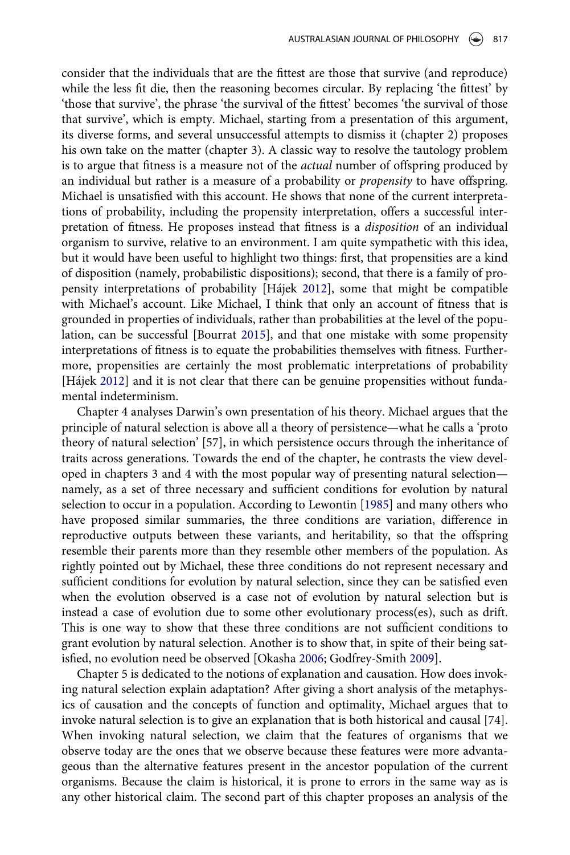consider that the individuals that are the fittest are those that survive (and reproduce) while the less fit die, then the reasoning becomes circular. By replacing 'the fittest' by 'those that survive', the phrase 'the survival of the fittest' becomes 'the survival of those that survive', which is empty. Michael, starting from a presentation of this argument, its diverse forms, and several unsuccessful attempts to dismiss it (chapter 2) proposes his own take on the matter (chapter 3). A classic way to resolve the tautology problem is to argue that fitness is a measure not of the actual number of offspring produced by an individual but rather is a measure of a probability or propensity to have offspring. Michael is unsatisfied with this account. He shows that none of the current interpretations of probability, including the propensity interpretation, offers a successful interpretation of fitness. He proposes instead that fitness is a disposition of an individual organism to survive, relative to an environment. I am quite sympathetic with this idea, but it would have been useful to highlight two things: first, that propensities are a kind of disposition (namely, probabilistic dispositions); second, that there is a family of propensity interpretations of probability [Hájek 2012], some that might be compatible with Michael's account. Like Michael, I think that only an account of fitness that is grounded in properties of individuals, rather than probabilities at the level of the population, can be successful [Bourrat 2015], and that one mistake with some propensity interpretations of fitness is to equate the probabilities themselves with fitness. Furthermore, propensities are certainly the most problematic interpretations of probability [Hájek 2012] and it is not clear that there can be genuine propensities without fundamental indeterminism.

Chapter 4 analyses Darwin's own presentation of his theory. Michael argues that the principle of natural selection is above all a theory of persistence—what he calls a 'proto theory of natural selection' [57], in which persistence occurs through the inheritance of traits across generations. Towards the end of the chapter, he contrasts the view developed in chapters 3 and 4 with the most popular way of presenting natural selection namely, as a set of three necessary and sufficient conditions for evolution by natural selection to occur in a population. According to Lewontin [1985] and many others who have proposed similar summaries, the three conditions are variation, difference in reproductive outputs between these variants, and heritability, so that the offspring resemble their parents more than they resemble other members of the population. As rightly pointed out by Michael, these three conditions do not represent necessary and sufficient conditions for evolution by natural selection, since they can be satisfied even when the evolution observed is a case not of evolution by natural selection but is instead a case of evolution due to some other evolutionary process(es), such as drift. This is one way to show that these three conditions are not sufficient conditions to grant evolution by natural selection. Another is to show that, in spite of their being satisfied, no evolution need be observed [Okasha 2006; Godfrey-Smith 2009].

Chapter 5 is dedicated to the notions of explanation and causation. How does invoking natural selection explain adaptation? After giving a short analysis of the metaphysics of causation and the concepts of function and optimality, Michael argues that to invoke natural selection is to give an explanation that is both historical and causal [74]. When invoking natural selection, we claim that the features of organisms that we observe today are the ones that we observe because these features were more advantageous than the alternative features present in the ancestor population of the current organisms. Because the claim is historical, it is prone to errors in the same way as is any other historical claim. The second part of this chapter proposes an analysis of the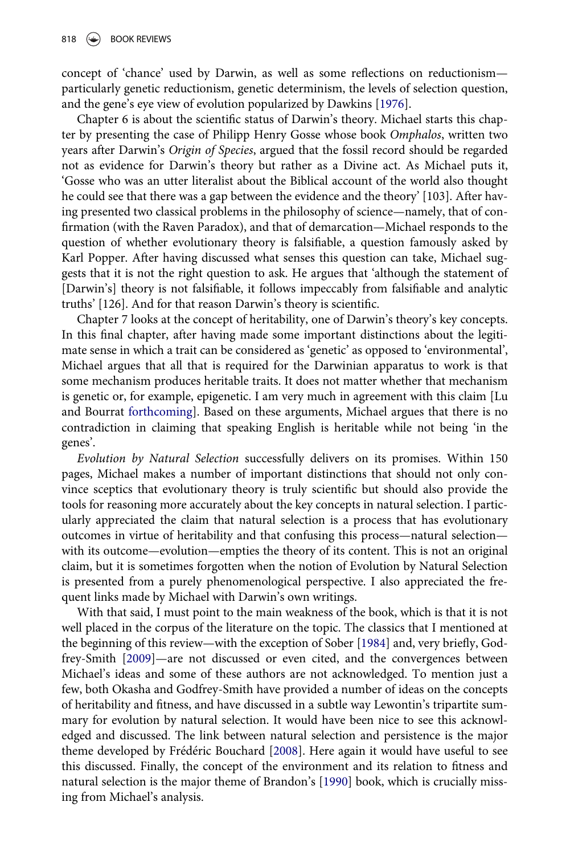concept of 'chance' used by Darwin, as well as some reflections on reductionism particularly genetic reductionism, genetic determinism, the levels of selection question, and the gene's eye view of evolution popularized by Dawkins [1976].

Chapter 6 is about the scientific status of Darwin's theory. Michael starts this chapter by presenting the case of Philipp Henry Gosse whose book Omphalos, written two years after Darwin's Origin of Species, argued that the fossil record should be regarded not as evidence for Darwin's theory but rather as a Divine act. As Michael puts it, 'Gosse who was an utter literalist about the Biblical account of the world also thought he could see that there was a gap between the evidence and the theory' [103]. After having presented two classical problems in the philosophy of science—namely, that of confirmation (with the Raven Paradox), and that of demarcation—Michael responds to the question of whether evolutionary theory is falsifiable, a question famously asked by Karl Popper. After having discussed what senses this question can take, Michael suggests that it is not the right question to ask. He argues that 'although the statement of [Darwin's] theory is not falsifiable, it follows impeccably from falsifiable and analytic truths' [126]. And for that reason Darwin's theory is scientific.

Chapter 7 looks at the concept of heritability, one of Darwin's theory's key concepts. In this final chapter, after having made some important distinctions about the legitimate sense in which a trait can be considered as 'genetic' as opposed to 'environmental', Michael argues that all that is required for the Darwinian apparatus to work is that some mechanism produces heritable traits. It does not matter whether that mechanism is genetic or, for example, epigenetic. I am very much in agreement with this claim [Lu and Bourrat forthcoming]. Based on these arguments, Michael argues that there is no contradiction in claiming that speaking English is heritable while not being 'in the genes'.

Evolution by Natural Selection successfully delivers on its promises. Within 150 pages, Michael makes a number of important distinctions that should not only convince sceptics that evolutionary theory is truly scientific but should also provide the tools for reasoning more accurately about the key concepts in natural selection. I particularly appreciated the claim that natural selection is a process that has evolutionary outcomes in virtue of heritability and that confusing this process—natural selection with its outcome—evolution—empties the theory of its content. This is not an original claim, but it is sometimes forgotten when the notion of Evolution by Natural Selection is presented from a purely phenomenological perspective. I also appreciated the frequent links made by Michael with Darwin's own writings.

With that said, I must point to the main weakness of the book, which is that it is not well placed in the corpus of the literature on the topic. The classics that I mentioned at the beginning of this review—with the exception of Sober [1984] and, very briefly, Godfrey-Smith [2009]—are not discussed or even cited, and the convergences between Michael's ideas and some of these authors are not acknowledged. To mention just a few, both Okasha and Godfrey-Smith have provided a number of ideas on the concepts of heritability and fitness, and have discussed in a subtle way Lewontin's tripartite summary for evolution by natural selection. It would have been nice to see this acknowledged and discussed. The link between natural selection and persistence is the major theme developed by Frédéric Bouchard [2008]. Here again it would have useful to see this discussed. Finally, the concept of the environment and its relation to fitness and natural selection is the major theme of Brandon's [1990] book, which is crucially missing from Michael's analysis.